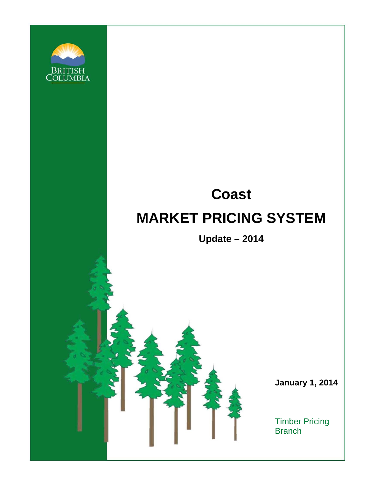

# **Coast MARKET PRICING SYSTEM**

**Update – 2014** 

 **January 1, 2014** 

Timber Pricing **Branch**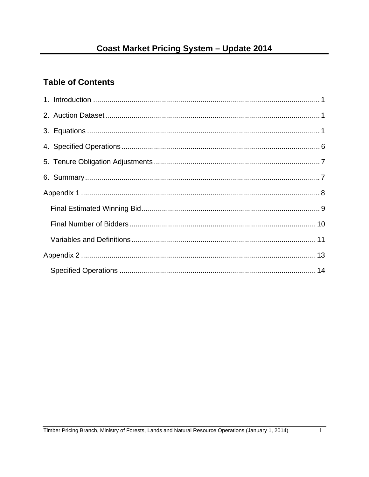# **Table of Contents**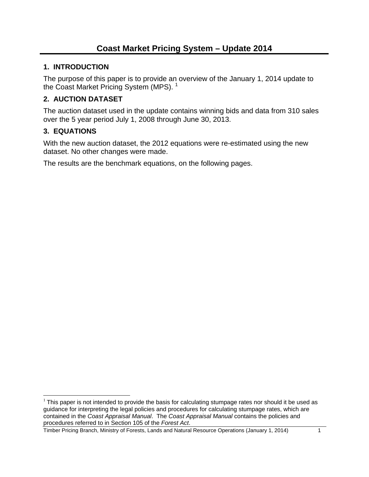#### **1. INTRODUCTION**

The purpose of this paper is to provide an overview of the January 1, 2014 update to the Coast Market Pricing System (MPS).<sup>1</sup>

## **2. AUCTION DATASET**

The auction dataset used in the update contains winning bids and data from 310 sales over the 5 year period July 1, 2008 through June 30, 2013.

#### **3. EQUATIONS**

With the new auction dataset, the 2012 equations were re-estimated using the new dataset. No other changes were made.

The results are the benchmark equations, on the following pages.

 $\overline{a}$  $<sup>1</sup>$  This paper is not intended to provide the basis for calculating stumpage rates nor should it be used as</sup> guidance for interpreting the legal policies and procedures for calculating stumpage rates, which are contained in the *Coast Appraisal Manual*. The *Coast Appraisal Manual* contains the policies and procedures referred to in Section 105 of the *Forest Act*.

Timber Pricing Branch, Ministry of Forests, Lands and Natural Resource Operations (January 1, 2014) 1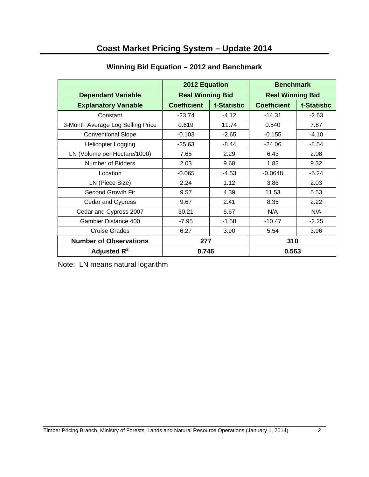|                                   | 2012 Equation      |                         | <b>Benchmark</b>   |                         |  |
|-----------------------------------|--------------------|-------------------------|--------------------|-------------------------|--|
| <b>Dependant Variable</b>         |                    | <b>Real Winning Bid</b> |                    | <b>Real Winning Bid</b> |  |
| <b>Explanatory Variable</b>       | <b>Coefficient</b> | t-Statistic             | <b>Coefficient</b> | t-Statistic             |  |
| Constant                          | $-23.74$           | $-4.12$                 | $-14.31$           | $-2.63$                 |  |
| 3-Month Average Log Selling Price | 0.619              | 11.74                   | 0.540              | 7.87                    |  |
| <b>Conventional Slope</b>         | $-0.103$           | $-2.65$                 | $-0.155$           | $-4.10$                 |  |
| Helicopter Logging                | $-25.63$           | $-8.44$                 | $-24.06$           | $-8.54$                 |  |
| LN (Volume per Hectare/1000)      | 7.65               | 2.29                    | 6.43               | 2.08                    |  |
| Number of Bidders                 | 2.03               | 9.68                    | 1.83               | 9.32                    |  |
| Location                          | $-0.065$           | $-4.53$                 | $-0.0648$          | $-5.24$                 |  |
| LN (Piece Size)                   | 2.24               | 1.12                    | 3.86               | 2.03                    |  |
| Second Growth Fir                 | 9.57               | 4.39                    | 11.53              | 5.53                    |  |
| Cedar and Cypress                 | 9.67               | 2.41                    | 8.35               | 2.22                    |  |
| Cedar and Cypress 2007            | 30.21              | 6.67                    | N/A                | N/A                     |  |
| Gambier Distance 400              | $-7.95$            | $-1.58$                 | $-10.47$           | $-2.25$                 |  |
| <b>Cruise Grades</b>              | 6.27               | 3.90                    | 5.54               | 3.96                    |  |
| <b>Number of Observations</b>     | 277                |                         | 310                |                         |  |
| Adjusted $R^2$                    | 0.746              |                         | 0.563              |                         |  |

#### **Winning Bid Equation – 2012 and Benchmark**

Note: LN means natural logarithm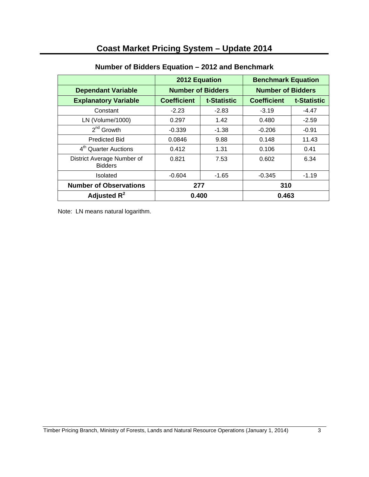|                                              | 2012 Equation            |             | <b>Benchmark Equation</b> |             |
|----------------------------------------------|--------------------------|-------------|---------------------------|-------------|
| <b>Dependant Variable</b>                    | <b>Number of Bidders</b> |             | <b>Number of Bidders</b>  |             |
| <b>Explanatory Variable</b>                  | <b>Coefficient</b>       | t-Statistic | <b>Coefficient</b>        | t-Statistic |
| Constant                                     | $-2.23$                  | $-2.83$     | $-3.19$                   | $-4.47$     |
| LN (Volume/1000)                             | 0.297                    | 1.42        | 0.480                     | $-2.59$     |
| $2^{nd}$ Growth                              | $-0.339$                 | $-1.38$     | $-0.206$                  | $-0.91$     |
| <b>Predicted Bid</b>                         | 0.0846                   | 9.88        | 0.148                     | 11.43       |
| 4 <sup>th</sup> Quarter Auctions             | 0.412                    | 1.31        | 0.106                     | 0.41        |
| District Average Number of<br><b>Bidders</b> | 0.821                    | 7.53        | 0.602                     | 6.34        |
| <b>Isolated</b>                              | $-0.604$                 | $-1.65$     | $-0.345$                  | $-1.19$     |
| <b>Number of Observations</b>                | 277                      |             | 310                       |             |
| Adjusted $R^2$                               | 0.400                    |             | 0.463                     |             |

#### **Number of Bidders Equation – 2012 and Benchmark**

Note: LN means natural logarithm.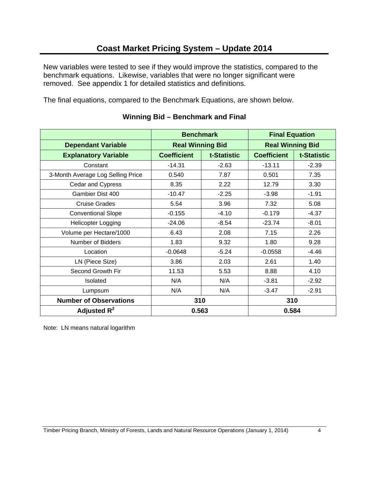New variables were tested to see if they would improve the statistics, compared to the benchmark equations. Likewise, variables that were no longer significant were removed. See appendix 1 for detailed statistics and definitions.

The final equations, compared to the Benchmark Equations, are shown below.

|                                   | <b>Benchmark</b>        |             | <b>Final Equation</b>   |             |
|-----------------------------------|-------------------------|-------------|-------------------------|-------------|
| <b>Dependant Variable</b>         | <b>Real Winning Bid</b> |             | <b>Real Winning Bid</b> |             |
| <b>Explanatory Variable</b>       | <b>Coefficient</b>      | t-Statistic | <b>Coefficient</b>      | t-Statistic |
| Constant                          | $-14.31$                | $-2.63$     | $-13.11$                | $-2.39$     |
| 3-Month Average Log Selling Price | 0.540                   | 7.87        | 0.501                   | 7.35        |
| Cedar and Cypress                 | 8.35                    | 2.22        | 12.79                   | 3.30        |
| Gambier Dist 400                  | $-10.47$                | $-2.25$     | $-3.98$                 | $-1.91$     |
| <b>Cruise Grades</b>              | 5.54                    | 3.96        | 7.32                    | 5.08        |
| <b>Conventional Slope</b>         | $-0.155$                | $-4.10$     | $-0.179$                | $-4.37$     |
| <b>Helicopter Logging</b>         | $-24.06$                | $-8.54$     | $-23.74$                | $-8.01$     |
| Volume per Hectare/1000           | 6.43                    | 2.08        | 7.15                    | 2.26        |
| Number of Bidders                 | 1.83                    | 9.32        | 1.80                    | 9.28        |
| Location                          | $-0.0648$               | $-5.24$     | $-0.0558$               | $-4.46$     |
| LN (Piece Size)                   | 3.86                    | 2.03        | 2.61                    | 1.40        |
| Second Growth Fir                 | 11.53                   | 5.53        | 8.88                    | 4.10        |
| Isolated                          | N/A                     | N/A         | $-3.81$                 | $-2.92$     |
| Lumpsum                           | N/A                     | N/A         | $-3.47$                 | $-2.91$     |
| <b>Number of Observations</b>     | 310                     |             | 310                     |             |
| Adjusted $R^2$                    | 0.563                   |             | 0.584                   |             |

#### **Winning Bid – Benchmark and Final**

Note: LN means natural logarithm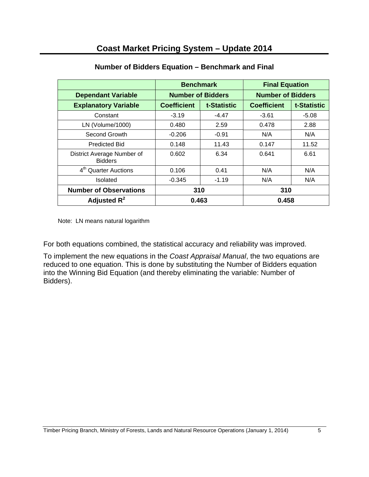|                                              | <b>Benchmark</b>         |             | <b>Final Equation</b>    |             |
|----------------------------------------------|--------------------------|-------------|--------------------------|-------------|
| <b>Dependant Variable</b>                    | <b>Number of Bidders</b> |             | <b>Number of Bidders</b> |             |
| <b>Explanatory Variable</b>                  | <b>Coefficient</b>       | t-Statistic | <b>Coefficient</b>       | t-Statistic |
| Constant                                     | $-3.19$                  | $-4.47$     | $-3.61$                  | $-5.08$     |
| LN (Volume/1000)                             | 0.480                    | 2.59        | 0.478                    | 2.88        |
| Second Growth                                | $-0.206$                 | $-0.91$     | N/A                      | N/A         |
| <b>Predicted Bid</b>                         | 0.148                    | 11.43       | 0.147                    | 11.52       |
| District Average Number of<br><b>Bidders</b> | 0.602                    | 6.34        | 0.641                    | 6.61        |
| 4 <sup>th</sup> Quarter Auctions             | 0.106                    | 0.41        | N/A                      | N/A         |
| <b>Isolated</b>                              | $-0.345$                 | $-1.19$     | N/A                      | N/A         |
| <b>Number of Observations</b>                | 310                      |             | 310                      |             |
| Adjusted $R^2$                               | 0.463                    |             | 0.458                    |             |

## **Number of Bidders Equation – Benchmark and Final**

Note: LN means natural logarithm

For both equations combined, the statistical accuracy and reliability was improved.

To implement the new equations in the *Coast Appraisal Manual*, the two equations are reduced to one equation. This is done by substituting the Number of Bidders equation into the Winning Bid Equation (and thereby eliminating the variable: Number of Bidders).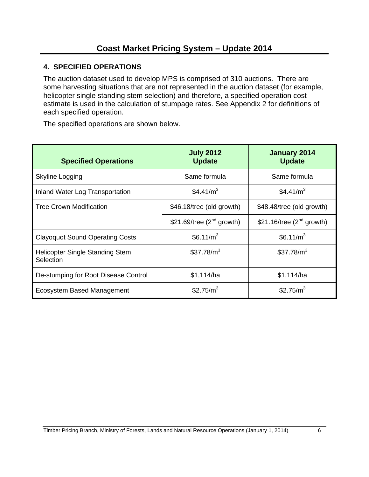### **4. SPECIFIED OPERATIONS**

The auction dataset used to develop MPS is comprised of 310 auctions. There are some harvesting situations that are not represented in the auction dataset (for example, helicopter single standing stem selection) and therefore, a specified operation cost estimate is used in the calculation of stumpage rates. See Appendix 2 for definitions of each specified operation.

The specified operations are shown below.

| <b>Specified Operations</b>                  | <b>July 2012</b><br><b>Update</b> | January 2014<br><b>Update</b>  |
|----------------------------------------------|-----------------------------------|--------------------------------|
| Skyline Logging                              | Same formula                      | Same formula                   |
| Inland Water Log Transportation              | \$4.41/ $m3$                      | \$4.41/ $m3$                   |
| <b>Tree Crown Modification</b>               | \$46.18/tree (old growth)         | \$48.48/tree (old growth)      |
|                                              | \$21.69/tree $(2^{nd}$ growth)    | \$21.16/tree $(2^{nd}$ growth) |
| <b>Clayoquot Sound Operating Costs</b>       | \$6.11/m <sup>3</sup>             | \$6.11/m <sup>3</sup>          |
| Helicopter Single Standing Stem<br>Selection | \$37.78/m <sup>3</sup>            | \$37.78/m <sup>3</sup>         |
| De-stumping for Root Disease Control         | \$1,114/ha                        | \$1,114/ha                     |
| Ecosystem Based Management                   | \$2.75/m <sup>3</sup>             | \$2.75/ $m3$                   |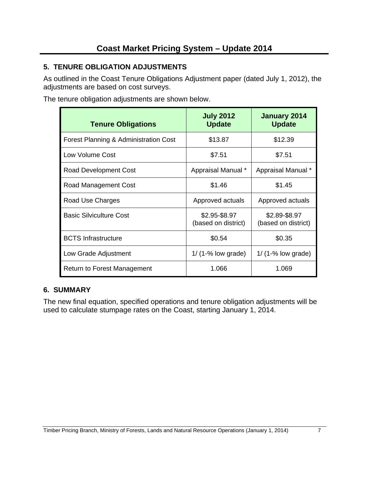## **5. TENURE OBLIGATION ADJUSTMENTS**

As outlined in the Coast Tenure Obligations Adjustment paper (dated July 1, 2012), the adjustments are based on cost surveys.

The tenure obligation adjustments are shown below.

| <b>Tenure Obligations</b>             | <b>July 2012</b><br><b>Update</b>    | January 2014<br><b>Update</b>        |
|---------------------------------------|--------------------------------------|--------------------------------------|
| Forest Planning & Administration Cost | \$13.87                              | \$12.39                              |
| Low Volume Cost                       | \$7.51                               | \$7.51                               |
| Road Development Cost                 | Appraisal Manual *                   | Appraisal Manual *                   |
| Road Management Cost                  | \$1.46                               | \$1.45                               |
| Road Use Charges                      | Approved actuals                     | Approved actuals                     |
| <b>Basic Silviculture Cost</b>        | \$2.95-\$8.97<br>(based on district) | \$2.89-\$8.97<br>(based on district) |
| <b>BCTS</b> Infrastructure            | \$0.54                               | \$0.35                               |
| Low Grade Adjustment                  | $1/$ (1-% low grade)                 | $1/$ (1-% low grade)                 |
| <b>Return to Forest Management</b>    | 1.066                                | 1.069                                |

#### **6. SUMMARY**

The new final equation, specified operations and tenure obligation adjustments will be used to calculate stumpage rates on the Coast, starting January 1, 2014.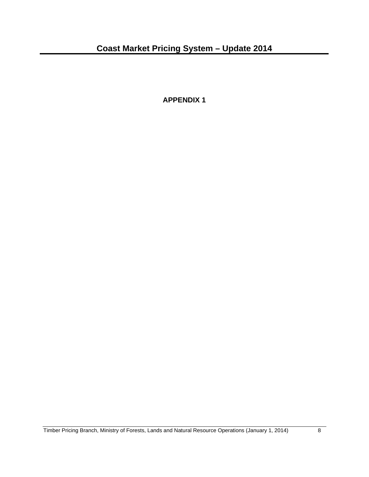**APPENDIX 1**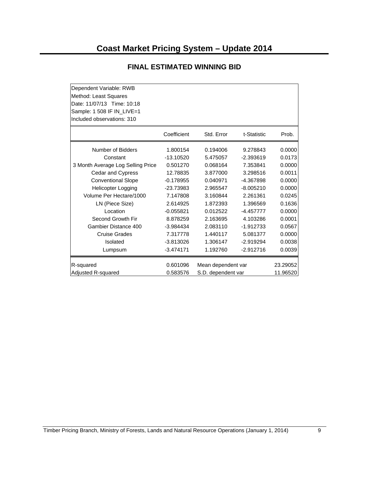| Dependent Variable: RWB           |             |                    |             |          |
|-----------------------------------|-------------|--------------------|-------------|----------|
| Method: Least Squares             |             |                    |             |          |
| Date: 11/07/13 Time: 10:18        |             |                    |             |          |
| Sample: 1 508 IF IN_LIVE=1        |             |                    |             |          |
| Included observations: 310        |             |                    |             |          |
|                                   | Coefficient | Std. Error         | t-Statistic | Prob.    |
| Number of Bidders                 | 1.800154    | 0.194006           | 9.278843    | 0.0000   |
| Constant                          | $-13.10520$ | 5.475057           | $-2.393619$ | 0.0173   |
| 3 Month Average Log Selling Price | 0.501270    | 0.068164           | 7.353841    | 0.0000   |
| Cedar and Cypress                 | 12.78835    | 3.877000           | 3.298516    | 0.0011   |
| <b>Conventional Slope</b>         | $-0.178955$ | 0.040971           | -4.367898   | 0.0000   |
| <b>Helicopter Logging</b>         | $-23.73983$ | 2.965547           | $-8.005210$ | 0.0000   |
| Volume Per Hectare/1000           | 7.147808    | 3.160844           | 2.261361    | 0.0245   |
| LN (Piece Size)                   | 2.614925    | 1.872393           | 1.396569    | 0.1636   |
| Location                          | $-0.055821$ | 0.012522           | $-4.457777$ | 0.0000   |
| Second Growth Fir                 | 8.878259    | 2.163695           | 4.103286    | 0.0001   |
| Gambier Distance 400              | $-3.984434$ | 2.083110           | $-1.912733$ | 0.0567   |
| <b>Cruise Grades</b>              | 7.317778    | 1.440117           | 5.081377    | 0.0000   |
| Isolated                          | $-3.813026$ | 1.306147           | $-2.919294$ | 0.0038   |
| Lumpsum                           | $-3.474171$ | 1.192760           | $-2.912716$ | 0.0039   |
| R-squared                         | 0.601096    | Mean dependent var |             | 23.29052 |
| Adjusted R-squared                | 0.583576    | S.D. dependent var |             | 11.96520 |

#### **FINAL ESTIMATED WINNING BID**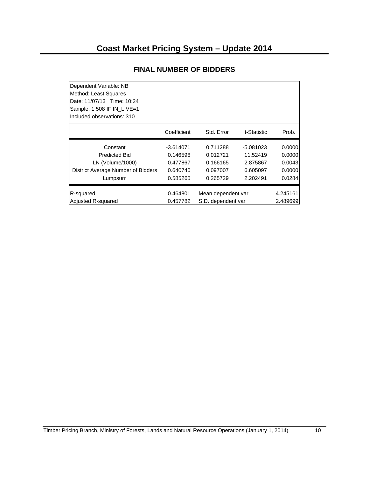| Dependent Variable: NB             |             |                    |             |          |
|------------------------------------|-------------|--------------------|-------------|----------|
| Method: Least Squares              |             |                    |             |          |
| Date: 11/07/13 Time: 10:24         |             |                    |             |          |
| Sample: 1 508 IF IN LIVE=1         |             |                    |             |          |
| Included observations: 310         |             |                    |             |          |
|                                    | Coefficient | Std. Error         | t-Statistic | Prob.    |
| Constant                           | $-3.614071$ | 0.711288           | $-5.081023$ | 0.0000   |
| <b>Predicted Bid</b>               | 0.146598    | 0.012721           | 11.52419    | 0.0000   |
| LN (Volume/1000)                   | 0.477867    | 0.166165           | 2.875867    | 0.0043   |
| District Average Number of Bidders | 0.640740    | 0.097007           | 6.605097    | 0.0000   |
| Lumpsum                            | 0.585265    | 0.265729           | 2.202491    | 0.0284   |
| R-squared                          | 0.464801    | Mean dependent var |             | 4.245161 |
| <b>Adjusted R-squared</b>          | 0.457782    | S.D. dependent var |             | 2.489699 |
|                                    |             |                    |             |          |

#### **FINAL NUMBER OF BIDDERS**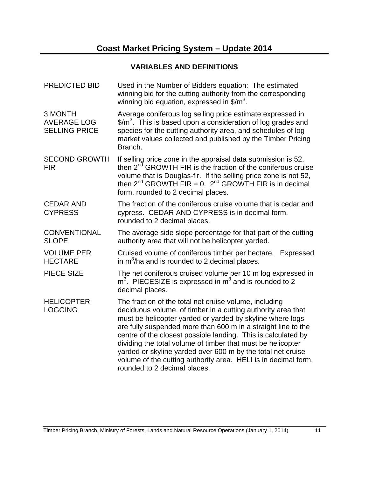## **VARIABLES AND DEFINITIONS**

| <b>PREDICTED BID</b>                                  | Used in the Number of Bidders equation: The estimated<br>winning bid for the cutting authority from the corresponding<br>winning bid equation, expressed in $\frac{m^3}{2}$ .                                                                                                                                                                                                                                                                                                                                                                         |  |  |
|-------------------------------------------------------|-------------------------------------------------------------------------------------------------------------------------------------------------------------------------------------------------------------------------------------------------------------------------------------------------------------------------------------------------------------------------------------------------------------------------------------------------------------------------------------------------------------------------------------------------------|--|--|
| 3 MONTH<br><b>AVERAGE LOG</b><br><b>SELLING PRICE</b> | Average coniferous log selling price estimate expressed in<br>$\frac{2}{3}$ This is based upon a consideration of log grades and<br>species for the cutting authority area, and schedules of log<br>market values collected and published by the Timber Pricing<br>Branch.                                                                                                                                                                                                                                                                            |  |  |
| <b>SECOND GROWTH</b><br><b>FIR</b>                    | If selling price zone in the appraisal data submission is 52,<br>then 2 <sup>nd</sup> GROWTH FIR is the fraction of the coniferous cruise<br>volume that is Douglas-fir. If the selling price zone is not 52,<br>then $2^{nd}$ GROWTH FIR = 0. $2^{nd}$ GROWTH FIR is in decimal<br>form, rounded to 2 decimal places.                                                                                                                                                                                                                                |  |  |
| <b>CEDAR AND</b><br><b>CYPRESS</b>                    | The fraction of the coniferous cruise volume that is cedar and<br>cypress. CEDAR AND CYPRESS is in decimal form,<br>rounded to 2 decimal places.                                                                                                                                                                                                                                                                                                                                                                                                      |  |  |
| <b>CONVENTIONAL</b><br><b>SLOPE</b>                   | The average side slope percentage for that part of the cutting<br>authority area that will not be helicopter yarded.                                                                                                                                                                                                                                                                                                                                                                                                                                  |  |  |
| <b>VOLUME PER</b><br><b>HECTARE</b>                   | Cruised volume of coniferous timber per hectare. Expressed<br>in $m^3/ha$ and is rounded to 2 decimal places.                                                                                                                                                                                                                                                                                                                                                                                                                                         |  |  |
| <b>PIECE SIZE</b>                                     | The net coniferous cruised volume per 10 m log expressed in<br>$m3$ . PIECESIZE is expressed in $m3$ and is rounded to 2<br>decimal places.                                                                                                                                                                                                                                                                                                                                                                                                           |  |  |
| <b>HELICOPTER</b><br><b>LOGGING</b>                   | The fraction of the total net cruise volume, including<br>deciduous volume, of timber in a cutting authority area that<br>must be helicopter yarded or yarded by skyline where logs<br>are fully suspended more than 600 m in a straight line to the<br>centre of the closest possible landing. This is calculated by<br>dividing the total volume of timber that must be helicopter<br>yarded or skyline yarded over 600 m by the total net cruise<br>volume of the cutting authority area. HELI is in decimal form,<br>rounded to 2 decimal places. |  |  |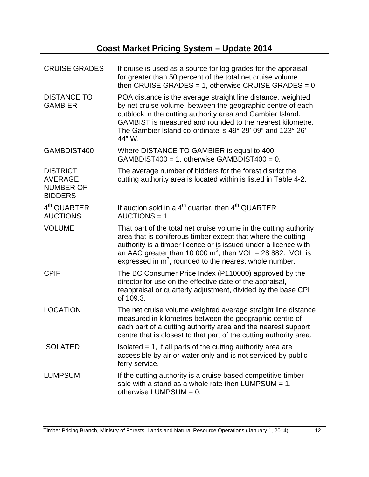| <b>CRUISE GRADES</b>                                                    | If cruise is used as a source for log grades for the appraisal<br>for greater than 50 percent of the total net cruise volume,<br>then CRUISE GRADES = 1, otherwise CRUISE GRADES = $0$                                                                                                                                           |
|-------------------------------------------------------------------------|----------------------------------------------------------------------------------------------------------------------------------------------------------------------------------------------------------------------------------------------------------------------------------------------------------------------------------|
| <b>DISTANCE TO</b><br><b>GAMBIER</b>                                    | POA distance is the average straight line distance, weighted<br>by net cruise volume, between the geographic centre of each<br>cutblock in the cutting authority area and Gambier Island.<br>GAMBIST is measured and rounded to the nearest kilometre.<br>The Gambier Island co-ordinate is 49° 29' 09" and 123° 26'<br>44" W.   |
| GAMBDIST400                                                             | Where DISTANCE TO GAMBIER is equal to 400,<br>$GAMBDIST400 = 1$ , otherwise $GAMBDIST400 = 0$ .                                                                                                                                                                                                                                  |
| <b>DISTRICT</b><br><b>AVERAGE</b><br><b>NUMBER OF</b><br><b>BIDDERS</b> | The average number of bidders for the forest district the<br>cutting authority area is located within is listed in Table 4-2.                                                                                                                                                                                                    |
| 4 <sup>th</sup> QUARTER<br><b>AUCTIONS</b>                              | If auction sold in a $4th$ quarter, then $4th$ QUARTER<br>$AUCTIONS = 1.$                                                                                                                                                                                                                                                        |
| <b>VOLUME</b>                                                           | That part of the total net cruise volume in the cutting authority<br>area that is coniferous timber except that where the cutting<br>authority is a timber licence or is issued under a licence with<br>an AAC greater than 10 000 $m^3$ , then VOL = 28 882. VOL is<br>expressed in $m3$ , rounded to the nearest whole number. |
| <b>CPIF</b>                                                             | The BC Consumer Price Index (P110000) approved by the<br>director for use on the effective date of the appraisal,<br>reappraisal or quarterly adjustment, divided by the base CPI<br>of 109.3.                                                                                                                                   |
| <b>LOCATION</b>                                                         | The net cruise volume weighted average straight line distance<br>measured in kilometres between the geographic centre of<br>each part of a cutting authority area and the nearest support<br>centre that is closest to that part of the cutting authority area.                                                                  |
| <b>ISOLATED</b>                                                         | Isolated $= 1$ , if all parts of the cutting authority area are<br>accessible by air or water only and is not serviced by public<br>ferry service.                                                                                                                                                                               |
| <b>LUMPSUM</b>                                                          | If the cutting authority is a cruise based competitive timber<br>sale with a stand as a whole rate then LUMPSUM = $1$ ,<br>otherwise $LUMPSUM = 0$ .                                                                                                                                                                             |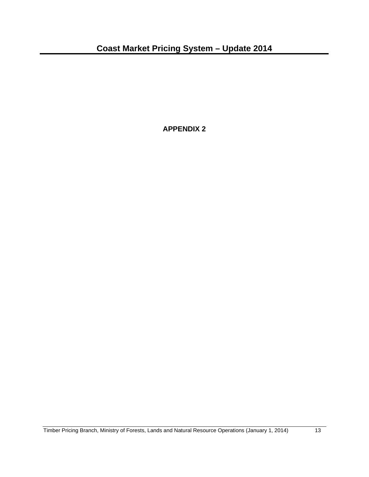**APPENDIX 2**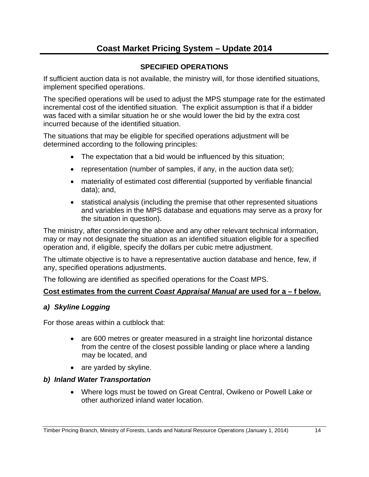#### **SPECIFIED OPERATIONS**

If sufficient auction data is not available, the ministry will, for those identified situations, implement specified operations.

The specified operations will be used to adjust the MPS stumpage rate for the estimated incremental cost of the identified situation. The explicit assumption is that if a bidder was faced with a similar situation he or she would lower the bid by the extra cost incurred because of the identified situation.

The situations that may be eligible for specified operations adjustment will be determined according to the following principles:

- The expectation that a bid would be influenced by this situation;
- representation (number of samples, if any, in the auction data set);
- materiality of estimated cost differential (supported by verifiable financial data); and,
- statistical analysis (including the premise that other represented situations and variables in the MPS database and equations may serve as a proxy for the situation in question).

The ministry, after considering the above and any other relevant technical information, may or may not designate the situation as an identified situation eligible for a specified operation and, if eligible, specify the dollars per cubic metre adjustment.

The ultimate objective is to have a representative auction database and hence, few, if any, specified operations adjustments.

The following are identified as specified operations for the Coast MPS.

#### **Cost estimates from the current** *Coast Appraisal Manual* **are used for a – f below.**

#### *a) Skyline Logging*

For those areas within a cutblock that:

- are 600 metres or greater measured in a straight line horizontal distance from the centre of the closest possible landing or place where a landing may be located, and
- are yarded by skyline.

#### *b) Inland Water Transportation*

 Where logs must be towed on Great Central, Owikeno or Powell Lake or other authorized inland water location.